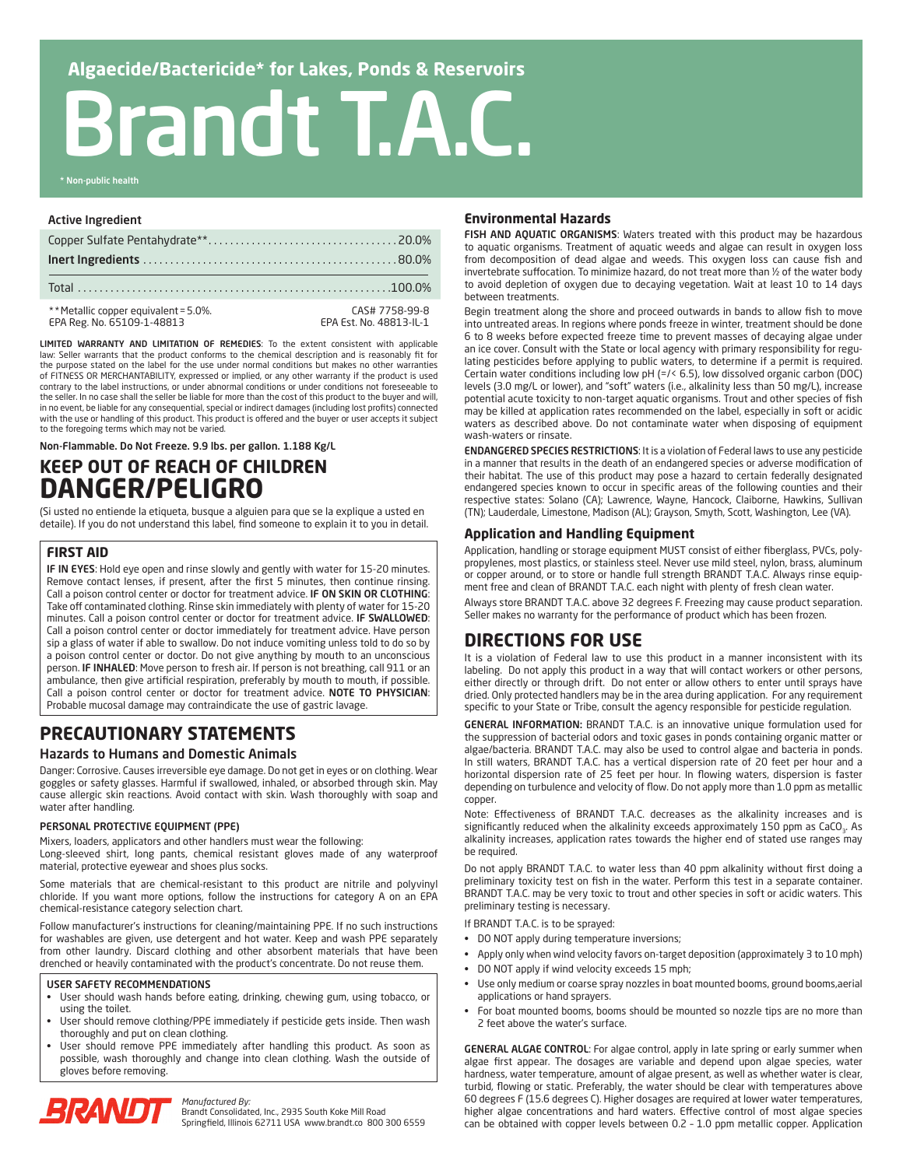# Brandt T.A.C.

\* Non-public health

#### Active Ingredient

| ** Metallic copper equivalent = 5.0%.<br>EPA Reg. No. 65109-1-48813 | CAS# 7758-99-8<br>EPA Est. No. 48813-IL-1 |
|---------------------------------------------------------------------|-------------------------------------------|

LIMITED WARRANTY AND LIMITATION OF REMEDIES: To the extent consistent with applicable law: Seller warrants that the product conforms to the chemical description and is reasonably fit for the purpose stated on the label for the use under normal conditions but makes no other warranties of FITNESS OR MERCHANTABILITY, expressed or implied, or any other warranty if the product is used contrary to the label instructions, or under abnormal conditions or under conditions not foreseeable to the seller. In no case shall the seller be liable for more than the cost of this product to the buyer and will, in no event, be liable for any consequential, special or indirect damages (including lost profits) connected with the use or handling of this product. This product is offered and the buyer or user accepts it subject to the foregoing terms which may not be varied.

Non-Flammable. Do Not Freeze. 9.9 lbs. per gallon. 1.188 Kg/L

# **KEEP OUT OF REACH OF CHILDREN DANGER/PELIGRO**

(Si usted no entiende la etiqueta, busque a alguien para que se la explique a usted en detaile). If you do not understand this label, find someone to explain it to you in detail.

# **FIRST AID**

IF IN EYES: Hold eye open and rinse slowly and gently with water for 15-20 minutes. Remove contact lenses, if present, after the first 5 minutes, then continue rinsing. Call a poison control center or doctor for treatment advice. IF ON SKIN OR CLOTHING: Take off contaminated clothing. Rinse skin immediately with plenty of water for 15-20 minutes. Call a poison control center or doctor for treatment advice. IF SWALLOWED: Call a poison control center or doctor immediately for treatment advice. Have person sip a glass of water if able to swallow. Do not induce vomiting unless told to do so by a poison control center or doctor. Do not give anything by mouth to an unconscious person. IF INHALED: Move person to fresh air. If person is not breathing, call 911 or an ambulance, then give artificial respiration, preferably by mouth to mouth, if possible. Call a poison control center or doctor for treatment advice. NOTE TO PHYSICIAN: Probable mucosal damage may contraindicate the use of gastric lavage.

# **PRECAUTIONARY STATEMENTS**

# Hazards to Humans and Domestic Animals

Danger: Corrosive. Causes irreversible eye damage. Do not get in eyes or on clothing. Wear goggles or safety glasses. Harmful if swallowed, inhaled, or absorbed through skin. May cause allergic skin reactions. Avoid contact with skin. Wash thoroughly with soap and water after handling.

## PERSONAL PROTECTIVE EQUIPMENT (PPE)

Mixers, loaders, applicators and other handlers must wear the following:

Long-sleeved shirt, long pants, chemical resistant gloves made of any waterproof material, protective eyewear and shoes plus socks.

Some materials that are chemical-resistant to this product are nitrile and polyvinyl chloride. If you want more options, follow the instructions for category A on an EPA chemical-resistance category selection chart.

Follow manufacturer's instructions for cleaning/maintaining PPE. If no such instructions for washables are given, use detergent and hot water. Keep and wash PPE separately from other laundry. Discard clothing and other absorbent materials that have been drenched or heavily contaminated with the product's concentrate. Do not reuse them.

#### USER SAFETY RECOMMENDATIONS

- User should wash hands before eating, drinking, chewing gum, using tobacco, or using the toilet.
- User should remove clothing/PPE immediately if pesticide gets inside. Then wash thoroughly and put on clean clothing.
- User should remove PPE immediately after handling this product. As soon as possible, wash thoroughly and change into clean clothing. Wash the outside of gloves before removing.



*Manufactured By:*

Brandt Consolidated, Inc., 2935 South Koke Mill Road Springfield, Illinois 62711 USA www.brandt.co 800 300 6559

# **Environmental Hazards**

FISH AND AQUATIC ORGANISMS: Waters treated with this product may be hazardous to aquatic organisms. Treatment of aquatic weeds and algae can result in oxygen loss from decomposition of dead algae and weeds. This oxygen loss can cause fish and invertebrate suffocation. To minimize hazard, do not treat more than ½ of the water body to avoid depletion of oxygen due to decaying vegetation. Wait at least 10 to 14 days between treatments.

Begin treatment along the shore and proceed outwards in bands to allow fish to move into untreated areas. In regions where ponds freeze in winter, treatment should be done 6 to 8 weeks before expected freeze time to prevent masses of decaying algae under an ice cover. Consult with the State or local agency with primary responsibility for regulating pesticides before applying to public waters, to determine if a permit is required. Certain water conditions including low pH (=/< 6.5), low dissolved organic carbon (DOC) levels (3.0 mg/L or lower), and "soft" waters (i.e., alkalinity less than 50 mg/L), increase potential acute toxicity to non-target aquatic organisms. Trout and other species of fish may be killed at application rates recommended on the label, especially in soft or acidic waters as described above. Do not contaminate water when disposing of equipment wash-waters or rinsate.

ENDANGERED SPECIES RESTRICTIONS: It is a violation of Federal laws to use any pesticide in a manner that results in the death of an endangered species or adverse modification of their habitat. The use of this product may pose a hazard to certain federally designated endangered species known to occur in specific areas of the following counties and their respective states: Solano (CA); Lawrence, Wayne, Hancock, Claiborne, Hawkins, Sullivan (TN); Lauderdale, Limestone, Madison (AL); Grayson, Smyth, Scott, Washington, Lee (VA).

# **Application and Handling Equipment**

Application, handling or storage equipment MUST consist of either fiberglass, PVCs, polypropylenes, most plastics, or stainless steel. Never use mild steel, nylon, brass, aluminum or copper around, or to store or handle full strength BRANDT T.A.C. Always rinse equipment free and clean of BRANDT T.A.C. each night with plenty of fresh clean water.

Always store BRANDT T.A.C. above 32 degrees F. Freezing may cause product separation. Seller makes no warranty for the performance of product which has been frozen.

# **DIRECTIONS FOR USE**

It is a violation of Federal law to use this product in a manner inconsistent with its labeling. Do not apply this product in a way that will contact workers or other persons, either directly or through drift. Do not enter or allow others to enter until sprays have dried. Only protected handlers may be in the area during application. For any requirement specific to your State or Tribe, consult the agency responsible for pesticide regulation.

GENERAL INFORMATION: BRANDT T.A.C. is an innovative unique formulation used for the suppression of bacterial odors and toxic gases in ponds containing organic matter or algae/bacteria. BRANDT T.A.C. may also be used to control algae and bacteria in ponds. In still waters, BRANDT T.A.C. has a vertical dispersion rate of 20 feet per hour and a horizontal dispersion rate of 25 feet per hour. In flowing waters, dispersion is faster depending on turbulence and velocity of flow. Do not apply more than 1.0 ppm as metallic copper.

Note: Effectiveness of BRANDT T.A.C. decreases as the alkalinity increases and is significantly reduced when the alkalinity exceeds approximately 150 ppm as CaCO<sub>3</sub>. As alkalinity increases, application rates towards the higher end of stated use ranges may be required.

Do not apply BRANDT T.A.C. to water less than 40 ppm alkalinity without first doing a preliminary toxicity test on fish in the water. Perform this test in a separate container. BRANDT T.A.C. may be very toxic to trout and other species in soft or acidic waters. This preliminary testing is necessary.

If BRANDT T.A.C. is to be sprayed:

- DO NOT apply during temperature inversions;
- Apply only when wind velocity favors on-target deposition (approximately 3 to 10 mph)
- DO NOT apply if wind velocity exceeds 15 mph;
- Use only medium or coarse spray nozzles in boat mounted booms, ground booms, aerial applications or hand sprayers.
- For boat mounted booms, booms should be mounted so nozzle tips are no more than 2 feet above the water's surface.

GENERAL ALGAE CONTROL: For algae control, apply in late spring or early summer when algae first appear. The dosages are variable and depend upon algae species, water hardness, water temperature, amount of algae present, as well as whether water is clear, turbid, flowing or static. Preferably, the water should be clear with temperatures above 60 degrees F (15.6 degrees C). Higher dosages are required at lower water temperatures, higher algae concentrations and hard waters. Effective control of most algae species can be obtained with copper levels between 0.2 – 1.0 ppm metallic copper. Application